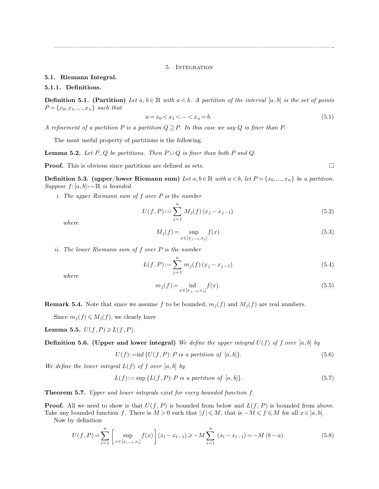#### 5. Integration

<span id="page-0-0"></span>—————————————————————————————————————————————-

# **5.1. Riemann Integral.**

### **5.1.1. Definitions.**

**Definition 5.1. (Partition)** Let  $a, b \in \mathbb{R}$  with  $a < b$ . A partition of the interval  $[a, b]$  is the set of points  $P = \{x_0, x_1, ..., x_n\}$  *such that* 

$$
a = x_0 < x_1 < \dots < x_n = b. \tag{5.1}
$$

*A refinement of a partition*  $P$  *is a partition*  $Q \supseteq P$ *. In this case we say*  $Q$  *is finer than*  $P$ *.* 

The most useful property of partitions is the following.

**Lemma 5.2.** *Let*  $P$ ,  $Q$  *be partitions. Then*  $P \cup Q$  *is finer than both*  $P$  *and*  $Q$ *.* 

**Proof.** This is obvious since partitions are defined as sets.  $\square$ 

**Definition 5.3. (upper/lower Riemann sum)** Let  $a, b \in \mathbb{R}$  with  $a < b$ , let  $P = \{x_0, ..., x_n\}$  be a partition. *Suppose*  $f: [a, b] \mapsto \mathbb{R}$  *is bounded.* 

*i. The upper Riemann sum of* f *over* P *is the number*

$$
U(f, P) := \sum_{j=1}^{n} M_j(f) (x_j - x_{j-1})
$$
\n(5.2)

*where*

$$
M_j(f) = \sup_{x \in [x_{j-1}, x_j]} f(x)
$$
\n(5.3)

*ii. The lower Riemann sum of* f *over* P *is the number*

$$
L(f, P) := \sum_{j=1}^{n} m_j(f) (x_j - x_{j-1})
$$
\n(5.4)

*where*

$$
m_j(f) = \inf_{x \in [x_{j-1}, x_j]} f(x).
$$
\n(5.5)

**Remark 5.4.** Note that since we assume f to be bounded,  $m_j(f)$  and  $M_j(f)$  are real numbers.

Since  $m_j(f) \leqslant M_j(f)$ , we clearly have

**Lemma 5.5.**  $U(f, P) \ge L(f, P)$ *.* 

**Definition 5.6.** (Upper and lower integral) We define the upper integral  $U(f)$  of f over [a, b] by

$$
U(f) := \inf \{ U(f, P) : P \text{ is a partition of } [a, b] \}. \tag{5.6}
$$

We define the lower integral  $L(f)$  of f over  $[a, b]$  by

$$
L(f) := \sup \{ L(f, P) : P \text{ is a partition of } [a, b] \}. \tag{5.7}
$$

**Theorem 5.7.** *Upper and lower integrals exist for every bounded function* f*.*

**Proof.** All we need to show is that  $U(f, P)$  is bounded from below and  $L(f, P)$  is bounded from above. Take any bounded function f. There is  $M > 0$  such that  $|f| \leq M$ , that is  $-M \leq f \leq M$  for all  $x \in [a, b]$ .

Now by definition

$$
U(f, P) = \sum_{i=1}^{n} \left[ \sup_{x \in [x_{i-1}, x_i]} f(x) \right] (x_l - x_{l-1}) \ge -M \sum_{i=1}^{n} (x_l - x_{l-1}) = -M (b - a). \tag{5.8}
$$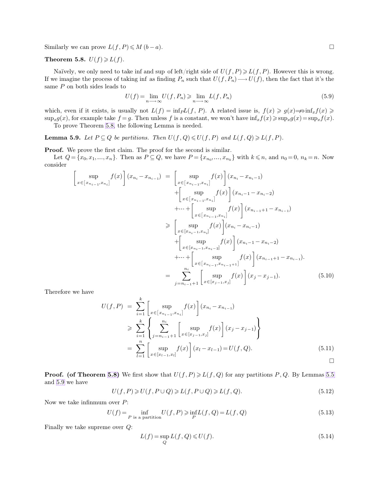Similarly we can prove  $L(f, P) \leq M (b - a)$ .

# **Theorem 5.8.**  $U(f) \ge L(f)$ .

Naïvely, we only need to take inf and sup of left/right side of  $U(f, P) \geq U(f, P)$ . However this is wrong. If we imagine the process of taking inf as finding  $P_n$  such that  $U(f, P_n) \longrightarrow U(f)$ , then the fact that it's the same P on both sides leads to

<span id="page-1-1"></span>
$$
U(f) = \lim_{n \to \infty} U(f, P_n) \ge \lim_{n \to \infty} L(f, P_n)
$$
\n(5.9)

which, even if it exists, is usually not  $L(f) = \inf_P L(f, P)$ . A related issue is,  $f(x) \geq g(x) \Rightarrow \inf_x f(x) \geq$  $\sup_x g(x)$ , for example take  $f = g$ . Then unless f is a constant, we won't have  $\inf_x f(x) \geq \sup_x g(x) = \sup_x f(x)$ .

To prove Theorem [5.8,](#page-1-0) the following Lemma is needed.

**Lemma 5.9.** *Let*  $P \subseteq Q$  *be partitions. Then*  $U(f, Q) \leq U(f, P)$  *and*  $L(f, Q) \geq L(f, P)$ *.* 

**Proof.** We prove the first claim. The proof for the second is similar.

Let  $Q = \{x_0, x_1, ..., x_n\}$ . Then as  $P \subseteq Q$ , we have  $P = \{x_{n_0}, ..., x_{n_k}\}$  with  $k \leq n$ , and  $n_0 = 0$ ,  $n_k = n$ . Now consider

$$
\begin{aligned}\n\begin{bmatrix}\n\sup_{x \in [x_{n_{i-1}}, x_{n_i}]} f(x)\n\end{bmatrix} (x_{n_i} - x_{n_{i-1}}) &= \n\begin{bmatrix}\n\sup_{x \in [x_{n_{i-1}}, x_{n_i}]} f(x)\n\end{bmatrix} (x_{n_i} - x_{n_i-1}) \\
&+ \begin{bmatrix}\n\sup_{x \in [x_{n_{i-1}}, x_{n_i}]} f(x)\n\end{bmatrix} (x_{n_i-1} - x_{n_i-2}) \\
&+ \cdots + \begin{bmatrix}\n\sup_{x \in [x_{n_{i-1}}, x_{n_i}]} f(x)\n\end{bmatrix} (x_{n_{i-1}+1} - x_{n_{i-1}}) \\
&\ge \begin{bmatrix}\n\sup_{x \in [x_{n_{i-1}}, x_{n_i}]} f(x)\n\end{bmatrix} (x_{n_i} - x_{n_i-1}) \\
&+ \begin{bmatrix}\n\sup_{x \in [x_{n_{i-1}}, x_{n_i}]} f(x)\n\end{bmatrix} (x_{n_i} - x_{n_i-1}) \\
&+ \cdots + \begin{bmatrix}\n\sup_{x \in [x_{n_{i-1}}, x_{n_{i-2}}]} f(x)\n\end{bmatrix} (x_{n_{i-1}+1} - x_{n_{i-1}}).\n\end{aligned}
$$
\n
$$
= \sum_{j=n_{i-1}+1}^{n_i} \begin{bmatrix}\n\sup_{x \in [x_{j-1}, x_{j}]} f(x)\n\end{bmatrix} (x_j - x_{j-1}). \tag{5.10}
$$

Therefore we have

$$
U(f, P) = \sum_{i=1}^{k} \left[ \sup_{x \in [x_{n_{i-1}}, x_{n_i}]} f(x) \right] (x_{n_i} - x_{n_{i-1}})
$$
  
\n
$$
\geq \sum_{i=1}^{k} \left\{ \sum_{j=n_{i-1}+1}^{n_i} \left[ \sup_{x \in [x_{j-1}, x_j]} f(x) \right] (x_j - x_{j-1}) \right\}
$$
  
\n
$$
= \sum_{l=1}^{n} \left[ \sup_{x \in [x_{l-1}, x_l]} f(x) \right] (x_l - x_{l-1}) = U(f, Q). \tag{5.11}
$$

**Proof.** (of Theorem [5.8\)](#page-1-0) We first show that  $U(f, P) \ge L(f, Q)$  for any partitions P, Q. By Lemmas [5.5](#page-0-0) and [5.9](#page-1-1) we have

$$
U(f, P) \ge U(f, P \cup Q) \ge L(f, P \cup Q) \ge L(f, Q). \tag{5.12}
$$

Now we take infinmum over  $P$ :

$$
U(f) = \inf_{P \text{ is a partition}} U(f, P) \ge \inf_{P} L(f, Q) = L(f, Q)
$$
\n
$$
(5.13)
$$

Finally we take supreme over Q:

<span id="page-1-0"></span>
$$
L(f) = \sup_{Q} L(f, Q) \le U(f). \tag{5.14}
$$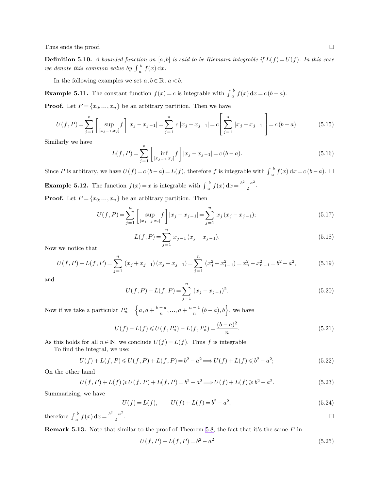<span id="page-2-0"></span>Thus ends the proof.  $\square$ 

**Definition 5.10.** *A bounded function on* [a, b] *is said to be Riemann integrable if*  $L(f) = U(f)$ *. In this case we denote this common value by*  $\int_{a}^{b}$  $\int_a^b f(x) dx$ .

In the following examples we set  $a, b \in \mathbb{R}$ ,  $a < b$ .

**Example 5.11.** The constant function  $f(x) = c$  is integrable with  $\int_a^b$  $\int_a^b f(x) dx = c (b - a).$ 

**Proof.** Let  $P = \{x_0, ..., x_n\}$  be an arbitrary partition. Then we have

$$
U(f, P) = \sum_{j=1}^{n} \left[ \sup_{[x_{j-1}, x_j]} f \right] |x_j - x_{j-1}| = \sum_{j=1}^{n} c |x_j - x_{j-1}| = c \left[ \sum_{j=1}^{n} |x_j - x_{j-1}| \right] = c(b - a). \tag{5.15}
$$

Similarly we have

$$
L(f, P) = \sum_{j=1}^{n} \left[ \inf_{[x_{j-1}, x_j]} f \right] |x_j - x_{j-1}| = c(b - a).
$$
 (5.16)

Since P is arbitrary, we have  $U(f) = c(b-a) = L(f)$ , therefore f is integrable with  $\int_a^b$  $\int_a^b f(x) dx = c (b - a)$ . □ **Example 5.12.** The function  $f(x) = x$  is integrable with  $\int_{a}^{b}$  $\int_a^b f(x) dx = \frac{b^2 - a^2}{2}$  $\frac{a}{2}$ .

**Proof.** Let  $P = \{x_0, ..., x_n\}$  be an arbitrary partition. Then

$$
U(f, P) = \sum_{j=1}^{n} \left[ \sup_{[x_{j-1}, x_j]} f \right] |x_j - x_{j-1}| = \sum_{j=1}^{n} x_j (x_j - x_{j-1});
$$
\n(5.17)

$$
L(f, P) = \sum_{j=1}^{n} x_{j-1} (x_j - x_{j-1}).
$$
\n(5.18)

Now we notice that

$$
U(f, P) + L(f, P) = \sum_{j=1}^{n} (x_j + x_{j-1})(x_j - x_{j-1}) = \sum_{j=1}^{n} (x_j^2 - x_{j-1}^2) = x_n^2 - x_{n-1}^2 = b^2 - a^2,
$$
(5.19)

and

$$
U(f, P) - L(f, P) = \sum_{j=1}^{n} (x_j - x_{j-1})^2.
$$
\n(5.20)

Now if we take a particular  $P_n^* = \left\{a, a + \frac{b-a}{n}, ..., a + \frac{n-1}{n}(b-a), b\right\}$ , we have

$$
U(f) - L(f) \leqslant U(f, P_n^*) - L(f, P_n^*) = \frac{(b-a)^2}{n}.
$$
\n
$$
(5.21)
$$

As this holds for all  $n \in \mathbb{N}$ , we conclude  $U(f) = L(f)$ . Thus f is integrable.

To find the integral, we use:

$$
U(f) + L(f, P) \le U(f, P) + L(f, P) = b^2 - a^2 \Longrightarrow U(f) + L(f) \le b^2 - a^2; \tag{5.22}
$$

On the other hand

$$
U(f, P) + L(f) \ge U(f, P) + L(f, P) = b^2 - a^2 \Longrightarrow U(f) + L(f) \ge b^2 - a^2.
$$
\n(5.23)

Summarizing, we have

$$
U(f) = L(f), \qquad U(f) + L(f) = b^2 - a^2,\tag{5.24}
$$

therefore 
$$
\int_{a}^{b} f(x) dx = \frac{b^2 - a^2}{2}
$$
.

**Remark 5.13.** Note that similar to the proof of Theorem [5.8,](#page-1-0) the fact that it's the same P in

<span id="page-2-1"></span>
$$
U(f, P) + L(f, P) = b^2 - a^2
$$
\n(5.25)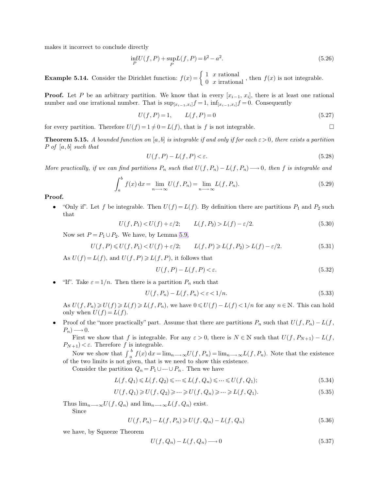makes it incorrect to conclude directly

<span id="page-3-0"></span>
$$
\inf_{P} U(f, P) + \sup_{P} L(f, P) = b^2 - a^2.
$$
\n(5.26)

**Example 5.14.** Consider the Dirichlet function:  $f(x) = \begin{cases} 1 & x \text{ rational} \\ 0 & x \text{ irrational} \end{cases}$ , then  $f(x)$  is not integrable.

**Proof.** Let P be an arbitrary partition. We know that in every  $[x_{i-1}, x_i]$ , there is at least one rational number and one irrational number. That is  $\sup_{[x_{i-1},x_i]} f = 1$ ,  $\inf_{[x_{i-1},x_i]} f = 0$ . Consequently

$$
U(f, P) = 1, \qquad L(f, P) = 0 \tag{5.27}
$$

for every partition. Therefore  $U(f) = 1 \neq 0 = L(f)$ , that is f is not integrable.

**Theorem 5.15.** *A bounded function on* [a, b] *is integrable if and only if for each*  $\varepsilon > 0$ *, there exists a partition* P *of* [a, b] *such that*

$$
U(f, P) - L(f, P) < \varepsilon. \tag{5.28}
$$

*More practically, if we can find partitions*  $P_n$  *such that*  $U(f, P_n) - L(f, P_n) \longrightarrow 0$ *, then* f *is integrable and* 

$$
\int_{a}^{b} f(x) dx = \lim_{n \to \infty} U(f, P_n) = \lim_{n \to \infty} L(f, P_n).
$$
\n(5.29)

**Proof.**

• "Only if". Let f be integrable. Then  $U(f) = L(f)$ . By definition there are partitions  $P_1$  and  $P_2$  such that

$$
U(f, P_1) < U(f) + \varepsilon/2; \qquad L(f, P_2) > L(f) - \varepsilon/2. \tag{5.30}
$$

Now set  $P = P_1 \cup P_2$ . We have, by Lemma [5.9,](#page-1-1)

$$
U(f, P) \le U(f, P_1) < U(f) + \varepsilon/2; \qquad L(f, P) \ge L(f, P_2) > L(f) - \varepsilon/2. \tag{5.31}
$$

As  $U(f) = L(f)$ , and  $U(f, P) \ge L(f, P)$ , it follows that

<span id="page-3-1"></span>
$$
U(f, P) - L(f, P) < \varepsilon. \tag{5.32}
$$

"If". Take  $\varepsilon = 1/n$ . Then there is a partition  $P_n$  such that

$$
U(f, P_n) - L(f, P_n) < \varepsilon < 1/n. \tag{5.33}
$$

As  $U(f, P_n) \ge U(f) \ge L(f) \ge L(f, P_n)$ , we have  $0 \le U(f) - L(f) < 1/n$  for any  $n \in \mathbb{N}$ . This can hold only when  $U(f) = L(f)$ .

• Proof of the "more practically" part. Assume that there are partitions  $P_n$  such that  $U(f, P_n) - L(f, P_n)$  $P_n) \longrightarrow 0.$ 

First we show that f is integrable. For any  $\varepsilon > 0$ , there is  $N \in \mathbb{N}$  such that  $U(f, P_{N+1}) - L(f,$  $P_{N+1}$ )  $\lt \varepsilon$ . Therefore f is integrable.

Now we show that  $\int_{a}^{b}$  $\int_{h}^{b} f(x) dx = \lim_{n \to \infty} U(f, P_n) = \lim_{n \to \infty} L(f, P_n)$ . Note that the existence of the two limits is not given, that is we need to show this existence.

Consider the partition  $Q_n = P_1 \cup \dots \cup P_n$ . Then we have

$$
L(f, Q_1) \leq L(f, Q_2) \leq \dots \leq L(f, Q_n) \leq \dots \leq U(f, Q_1); \tag{5.34}
$$

$$
U(f, Q_1) \geqslant U(f, Q_2) \geqslant \dots \geqslant U(f, Q_n) \geqslant \dots \geqslant L(f, Q_1). \tag{5.35}
$$

Thus  $\lim_{n\longrightarrow\infty}U(f,Q_n)$  and  $\lim_{n\longrightarrow\infty}L(f,Q_n)$  exist.

Since

$$
U(f, P_n) - L(f, P_n) \ge U(f, Q_n) - L(f, Q_n)
$$
\n(5.36)

we have, by Squeeze Theorem

$$
U(f, Q_n) - L(f, Q_n) \longrightarrow 0 \tag{5.37}
$$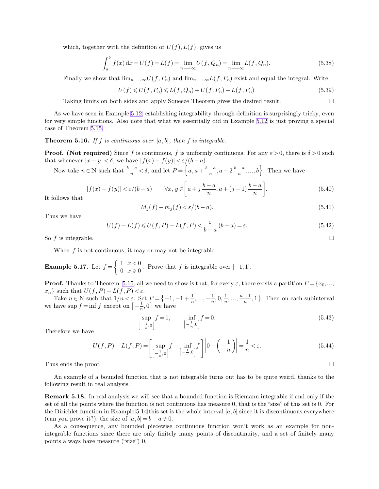<span id="page-4-0"></span>which, together with the definition of  $U(f)$ ,  $L(f)$ , gives us

$$
\int_{a}^{b} f(x) dx = U(f) = L(f) = \lim_{n \to \infty} U(f, Q_n) = \lim_{n \to \infty} L(f, Q_n).
$$
 (5.38)

Finally we show that  $\lim_{n\longrightarrow\infty}U(f, P_n)$  and  $\lim_{n\longrightarrow\infty}L(f, P_n)$  exist and equal the integral. Write

$$
U(f) \leq U(f, P_n) \leq L(f, Q_n) + U(f, P_n) - L(f, P_n)
$$
\n(5.39)

Taking limits on both sides and apply Squeeze Theorem gives the desired result.

As we have seen in Example [5.12,](#page-2-0) establishing integrability through definition is surprisingly tricky, even for very simple functions. Also note that what we essentially did in Example [5.12](#page-2-0) is just proving a special case of Theorem [5.15.](#page-3-0)

**Theorem 5.16.** *If* f *is continuous over* [a, b]*, then* f *is integrable.*

**Proof.** (Not required) Since f is continuous, f is uniformly continuous. For any  $\varepsilon > 0$ , there is  $\delta > 0$  such that whenever  $|x - y| < \delta$ , we have  $|f(x) - f(y)| < \varepsilon/(b - a)$ .

Now take  $n \in \mathbb{N}$  such that  $\frac{b-a}{n} < \delta$ , and let  $P = \left\{a, a + \frac{b-a}{n}, a + 2\frac{b-a}{n}, ..., b\right\}$ . Then we have

$$
|f(x) - f(y)| < \varepsilon/(b - a) \qquad \forall x, y \in \left[a + j\frac{b - a}{n}, a + (j + 1)\frac{b - a}{n}\right].\tag{5.40}
$$

It follows that

$$
M_j(f) - m_j(f) < \varepsilon/(b - a). \tag{5.41}
$$

Thus we have

$$
U(f) - L(f) \le U(f, P) - L(f, P) < \frac{\varepsilon}{b - a} \left( b - a \right) = \varepsilon. \tag{5.42}
$$

So f is integrable.

When  $f$  is not continuous, it may or may not be integrable.

h

**Example 5.17.** Let  $f = \begin{cases} 1 & x < 0 \\ 0 & x > 0 \end{cases}$  $\begin{array}{c} 1 & x \leq 0 \\ 0 & x \geq 0 \end{array}$ . Prove that f is integrable over  $[-1, 1]$ .

**Proof.** Thanks to Theorem [5.15,](#page-3-0) all we need to show is that, for every  $\varepsilon$ , there exists a partition  $P = \{x_0, ..., x_n\}$  such that  $U(f, P) - L(f, P) < \varepsilon$ .  $x_n$ } such that  $U(f, P) - L(f, P) < \varepsilon$ .

Take  $n \in \mathbb{N}$  such that  $1/n < \varepsilon$ . Set  $P = \{-1, -1 + \frac{1}{n}, \dots, -\frac{1}{n}\}$  $\frac{1}{n}, 0, \frac{1}{n}$  $\frac{1}{n}, \ldots, \frac{n-1}{n}, 1$ . Then on each subinterval we have sup  $f = \inf f$  except on  $\left[ -\frac{1}{n} \right]$  $\left[\frac{1}{n},0\right]$  we have

$$
\sup_{-\frac{1}{n},0} f = 1, \qquad \inf_{[-\frac{1}{n},0]} f = 0. \tag{5.43}
$$

Therefore we have

$$
U(f, P) - L(f, P) = \left[\sup_{\left[-\frac{1}{n}, 0\right]} f - \inf_{\left[-\frac{1}{n}, 0\right]} f\right] \left|0 - \left(-\frac{1}{n}\right)\right| = \frac{1}{n} < \varepsilon.
$$
 (5.44)

Thus ends the proof.  $\Box$ 

An example of a bounded function that is not integrable turns out has to be quite weird, thanks to the following result in real analysis.

**Remark 5.18.** In real analysis we will see that a bounded function is Riemann integrable if and only if the set of all the points where the function is not continuous has measure 0, that is the "size" of this set is 0. For the Dirichlet function in Example [5.14](#page-3-1) this set is the whole interval  $[a, b]$  since it is discontinuous everywhere (can you prove it?), the size of  $[a, b] = b - a \neq 0$ .

As a consequence, any bounded piecewise continuous function won't work as an example for nonintegrable functions since there are only finitely many points of discontinuity, and a set of finitely many points always have measure ("size") 0.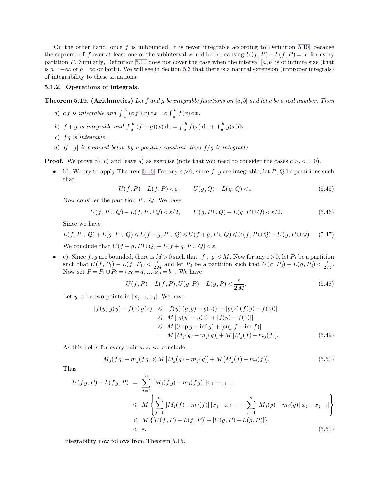On the other hand, once  $f$  is unbounded, it is never integrable according to Definition [5.10,](#page-2-1) because the supreme of f over at least one of the subinterval would be  $\infty$ , causing  $U(f, P) - L(f, P) = \infty$  for every partition P. Similarly, Definition [5.10](#page-2-1) does not cover the case when the interval [a, b] is of infinite size (that is  $a=-\infty$  or  $b=\infty$  or both). We will see in Section [5.3](#page-12-0) that there is a natural extension (improper integrals) of integrability to these situations.

#### **5.1.2. Operations of integrals.**

**Theorem 5.19. (Arithmetics)** *Let* f *and* g *be integrable functions on* [a, b] *and let* c *be a real number. Then*

- *a*) *cf is integrable and*  $\int_{a}^{b}$  $\int_a^b (cf)(x) dx = c \int_a^b$  $\int_a^b f(x) dx$ .
- b)  $f + g$  *is integrable and*  $\int_{a}^{b}$  $\int_a^b (f+g)(x) dx = \int_a^b$  $\int_a^b f(x) dx + \int_a^b$  $\int_a^b g(x) dx$ .
- *c*) fg is integrable.
- *d*) *If* |g| *is bounded below by a positive constant, then* f/g *is integrable.*

**Proof.** We prove b), c) and leave a) as exercise (note that you need to consider the cases  $c >, <, =0$ ).

• b). We try to apply Theorem [5.15.](#page-3-0) For any  $\varepsilon > 0$ , since f, g are integrable, let P, Q be partitions such that

<span id="page-5-0"></span>
$$
U(f, P) - L(f, P) < \varepsilon, \qquad U(g, Q) - L(g, Q) < \varepsilon. \tag{5.45}
$$

Now consider the partition  $P \cup Q$ . We have

$$
U(f, P \cup Q) - L(f, P \cup Q) < \varepsilon/2, \qquad U(g, P \cup Q) - L(g, P \cup Q) < \varepsilon/2. \tag{5.46}
$$

Since we have

$$
L(f, P \cup Q) + L(g, P \cup Q) \le L(f + g, P \cup Q) \le U(f + g, P \cup Q) \le U(f, P \cup Q) + U(g, P \cup Q) \tag{5.47}
$$

We conclude that  $U(f + g, P \cup Q) - L(f + g, P \cup Q) < \varepsilon$ .

• c). Since f, g are bounded, there is  $M > 0$  such that  $|f|, |g| \le M$ . Now for any  $\varepsilon > 0$ , let  $P_1$  be a partition such that  $U(f, P_1) - L(f, P_1) < \frac{\varepsilon}{2l}$  $\frac{\varepsilon}{2 M}$  and let  $P_2$  be a partition such that  $U(g, P_2) - L(g, P_2) < \frac{\varepsilon}{2 R}$  $rac{\varepsilon}{2 M}$ . Now set  $P = P_1 \cup P_2 = \{x_0 = a, ..., x_n = b\}$ . We have

$$
U(f, P) - L(f, P), U(g, P) - L(g, P) < \frac{\varepsilon}{2 M}.\tag{5.48}
$$

Let  $y, z$  be two points in  $[x_{i-1}, x_i]$ . We have

$$
|f(y) g(y) - f(z) g(z)| \leq |f(y) (g(y) - g(z))| + |g(z) (f(y) - f(z))|
$$
  
\n
$$
\leq M [|g(y) - g(z)| + |f(y) - f(z)|]
$$
  
\n
$$
\leq M [(\sup g - \inf g) + (\sup f - \inf f)]
$$
  
\n
$$
= M [M_j(g) - m_j(g)] + M [M_j(f) - m_j(f)].
$$
\n(5.49)

As this holds for every pair  $y, z$ , we conclude

$$
M_j(fg) - m_j(fg) \le M \left[ M_j(g) - m_j(g) \right] + M \left[ M_j(f) - m_j(f) \right]. \tag{5.50}
$$

Thus

$$
U(fg, P) - L(fg, P) = \sum_{j=1}^{n} [M_j(fg) - m_j(fg)] |x_j - x_{j-1}|
$$
  
\n
$$
\leq M \left\{ \sum_{j=1}^{n} [M_j(f) - m_j(f)] |x_j - x_{j-1}| + \sum_{j=1}^{n} [M_j(g) - m_j(g)] |x_j - x_{j-1}| \right\}
$$
  
\n
$$
\leq M \left\{ [U(f, P) - L(f, P)] - [U(g, P) - L(g, P)] \right\}
$$
  
\n
$$
< \varepsilon.
$$
\n(5.51)

Integrability now follows from Theorem [5.15.](#page-3-0)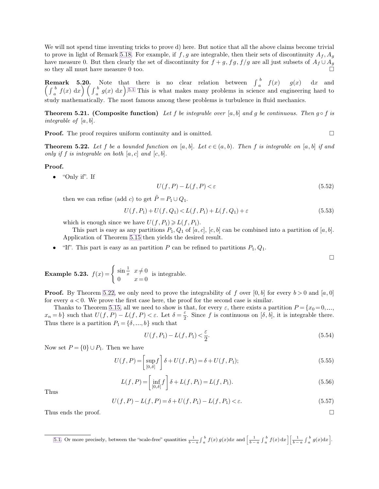<span id="page-6-0"></span>We will not spend time inventing tricks to prove d) here. But notice that all the above claims become trivial to prove in light of Remark [5.18.](#page-4-0) For example, if f, g are integrable, then their sets of discontinuity  $A_f$ ,  $A_g$ have measure 0. But then clearly the set of discontinuity for  $f + g$ ,  $f g$ ,  $f/g$  are all just subsets of  $A_f \cup A_g$  so they all must have measure 0 too. so they all must have measure 0 too.

**Remark 5.20.** Note that there is no clear relation between  $\int_a^b$ **Remark 5.20.** Note that there is no clear relation between  $\int_a^b f(x) g(x) dx$  and  $\left(\int_a^b f(x) dx\right) \left(\int_a^b g(x) dx\right)^{5.1}$  This is what makes many problems in science and engineering hard to  $\int_a^b f(x) \, dx \bigg) \left( \int_a^b$  $\int_a^b g(x) dx$ .<sup>5.1</sup> This is what makes many problems in science and engineering hard to study mathematically. The most famous among these problems is turbulence in fluid mechanics.

**Theorem 5.21. (Composite function)** *Let* f *be integrable over* [a, b] and g *be continuous. Then* g  $\circ$  f *is integrable of* [a, b]*.*

**Proof.** The proof requires uniform continuity and is omitted.

**Theorem 5.22.** Let f be a bounded function on [a, b]. Let  $c \in (a, b)$ . Then f is integrable on [a, b] if and *only if* f *is integrable on both*  $[a, c]$  *and*  $[c, b]$ *.* 

**Proof.**

• "Only if". If

$$
U(f, P) - L(f, P) < \varepsilon \tag{5.52}
$$

then we can refine (add c) to get  $\tilde{P} = P_1 \cup Q_1$ .

$$
U(f, P_1) + U(f, Q_1) < L(f, P_1) + L(f, Q_1) + \varepsilon \tag{5.53}
$$

which is enough since we have  $U(f, P_1) \geq U(f, P_1)$ .

This part is easy as any partitions  $P_1, Q_1$  of  $[a, c], [c, b]$  can be combined into a partition of  $[a, b]$ . Application of Theorem [5.15](#page-3-0) then yields the desired result.

• "If". This part is easy as an partition P can be refined to partitions  $P_1, Q_1$ .

<span id="page-6-1"></span> $\Box$ 

**Example 5.23.** 
$$
f(x) = \begin{cases} \sin \frac{1}{x} & x \neq 0 \\ 0 & x = 0 \end{cases}
$$
 is integrable.

**Proof.** By Theorem [5.22,](#page-6-0) we only need to prove the integrability of f over  $[0, b]$  for every  $b > 0$  and  $[a, 0]$ for every  $a < 0$ . We prove the first case here, the proof for the second case is similar.

Thanks to Theorem [5.15,](#page-3-0) all we need to show is that, for every  $\varepsilon$ , there exists a partition  $P = \{x_0 = 0, ...,$  $x_n = b$ } such that  $U(f, P) - L(f, P) < \varepsilon$ . Let  $\delta = \frac{\varepsilon}{2}$  $\frac{\varepsilon}{2}$ . Since f is continuous on  $[\delta, b]$ , it is integrable there. Thus there is a partition  $P_1 = \{\delta, ..., b\}$  such that

$$
U(f, P_1) - L(f, P_1) < \frac{\varepsilon}{2}.\tag{5.54}
$$

Now set  $P = \{0\} \cup P_1$ . Then we have

$$
U(f, P) = \left[\sup_{[0,\delta]} f\right] \delta + U(f, P_1) = \delta + U(f, P_1); \tag{5.55}
$$

$$
L(f, P) = \left[ \inf_{[0, \delta]} f \right] \delta + L(f, P_1) = L(f, P_1). \tag{5.56}
$$

Thus

$$
U(f, P) - L(f, P) = \delta + U(f, P_1) - L(f, P_1) < \varepsilon. \tag{5.57}
$$

Thus ends the proof.  $\square$ 

[<sup>5.1.</sup>](#page-6-1) Or more precisely, between the "scale-free" quantities  $\frac{1}{b-a}\int_a^b f(x)g(x)dx$  and  $\left[\frac{1}{b-a}\int_a^b f(x)dx\right]\left[\frac{1}{b-a}\int_a^b g(x)dx\right]$ .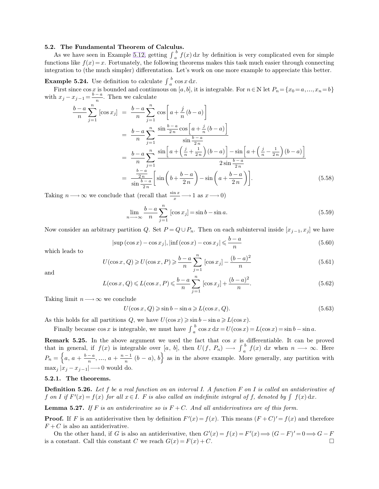#### **5.2. The Fundamental Theorem of Calculus.**

As we have seen in Example [5.12,](#page-2-0) getting  $\int_a^b$  $\int_a^b f(x) dx$  by definition is very complicated even for simple functions like  $f(x)=x$ . Fortunately, the following theorems makes this task much easier through connecting integration to (the much simpler) differentation. Let's work on one more example to appreciate this better.

**Example 5.24.** Use definition to calculate  $\int_a^b \cos x \, dx$ .

First since  $\cos x$  is bounded and continuous on  $[a, b]$ , it is integrable. For  $n \in \mathbb{N}$  let  $P_n = \{x_0 = a, ..., x_n = b\}$ with  $x_j - x_{j-1} = \frac{b-a}{n}$ . Then we calculate

$$
\frac{b-a}{n}\sum_{j=1}^{n} \left[\cos x_j\right] = \frac{b-a}{n}\sum_{j=1}^{n} \cos\left[a + \frac{j}{n}(b-a)\right]
$$

$$
= \frac{b-a}{n}\sum_{j=1}^{n} \frac{\sin\frac{b-a}{2n}\cos\left[a + \frac{j}{n}(b-a)\right]}{\sin\frac{b-a}{2n}}
$$

$$
= \frac{b-a}{n}\sum_{j=1}^{n} \frac{\sin\left[a + \left(\frac{j}{n} + \frac{1}{2n}\right)(b-a)\right] - \sin\left[a + \left(\frac{j}{n} - \frac{1}{2n}\right)(b-a)\right]}{2\sin\frac{b-a}{2n}}
$$

$$
= \frac{\frac{b-a}{2n}}{\sin\frac{b-a}{2n}} \left[\sin\left(b + \frac{b-a}{2n}\right) - \sin\left(a + \frac{b-a}{2n}\right)\right].
$$
(5.58)

Taking  $n \longrightarrow \infty$  we conclude that (recall that  $\frac{\sin x}{x} \longrightarrow 1$  as  $x \longrightarrow 0$ )

$$
\lim_{n \to \infty} \frac{b-a}{n} \sum_{j=1}^{n} [\cos x_j] = \sin b - \sin a. \tag{5.59}
$$

Now consider an arbitrary partition Q. Set  $P = Q \cup P_n$ . Then on each subinterval inside  $[x_{j-1}, x_j]$  we have

$$
|\sup(\cos x) - \cos x_j|, |\inf(\cos x) - \cos x_j| \leq \frac{b-a}{n}
$$
\n(5.60)

which leads to

$$
U(\cos x, Q) \ge U(\cos x, P) \ge \frac{b-a}{n} \sum_{j=1}^{n} [\cos x_j] - \frac{(b-a)^2}{n}
$$
 (5.61)

and

$$
L(\cos x, Q) \le L(\cos x, P) \le \frac{b-a}{n} \sum_{j=1}^{n} [\cos x_j] + \frac{(b-a)^2}{n}.
$$
 (5.62)

Taking limit  $n \longrightarrow \infty$  we conclude

$$
U(\cos x, Q) \ge \sin b - \sin a \ge L(\cos x, Q). \tag{5.63}
$$

As this holds for all partitions Q, we have  $U(\cos x) \ge \sin b - \sin a \ge L(\cos x)$ .

Finally because  $\cos x$  is integrable, we must have  $\int_a^b$  $b_{i}^{b} \cos x \, dx = U(\cos x) = L(\cos x) = \sin b - \sin a.$ 

**Remark 5.25.** In the above argument we used the fact that cos  $x$  is differentiable. It can be proved that in general, if  $f(x)$  is integrable over [a, b], then  $U(f, P_n) \longrightarrow \int_a^b$  $\int_a^b f(x) dx$  when  $n \longrightarrow \infty$ . Here  $P_n = \left\{a, a + \frac{b-a}{n}, ..., a + \frac{n-1}{n} (b-a), b\right\}$  as in the above example. More generally, any partition with  $\max_i |x_i - x_{i-1}| \longrightarrow 0$  would do.

### **5.2.1. The theorems.**

**Definition 5.26.** *Let* f *be a real function on an interval I. A function* F *on* I *is called an antiderivative of* f on I if  $F'(x) = f(x)$  for all  $x \in I$ . F is also called an indefinite integral of f, denoted by  $\int f(x) dx$ .

**Lemma 5.27.** If F is an antiderivative so is  $F + C$ . And all antiderivatives are of this form.

**Proof.** If F is an antiderivative then by definition  $F'(x) = f(x)$ . This means  $(F+C)' = f(x)$  and therefore  $F + C$  is also an antiderivative.

On the other hand, if G is also an antiderivative, then  $G'(x) = f(x) = F'(x) \Longrightarrow (G - F)' = 0 \Longrightarrow G - F'$ is a constant. Call this constant C we reach  $G(x) = F(x) + C$ .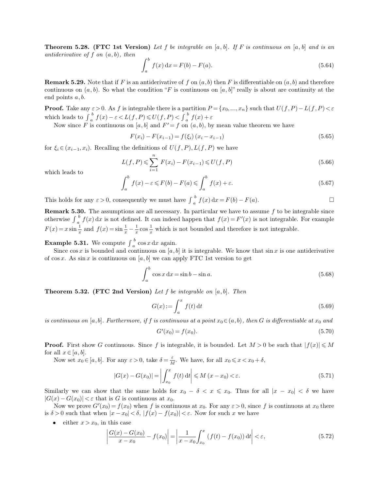**Theorem 5.28. (FTC 1st Version)** *Let* f *be integrable on* [a, b]*. If* F *is continuous on* [a, b] *and is an antiderivative of* f *on* (a, b)*, then*

$$
\int_{a}^{b} f(x) dx = F(b) - F(a).
$$
\n(5.64)

**Remark 5.29.** Note that if F is an antiderivative of f on  $(a, b)$  then F is differentiable on  $(a, b)$  and therefore continuous on  $(a, b)$ . So what the condition "F is continuous on  $[a, b]$ " really is about are continuity at the end points a, b.

**Proof.** Take any  $\varepsilon > 0$ . As f is integrable there is a partition  $P = \{x_0, ..., x_n\}$  such that  $U(f, P) - L(f, P) < \varepsilon$ which leads to  $\int_{a}^{b}$  $\int_a^b f(x) - \varepsilon < L(f, P) \le U(f, P) < \int_a^b$  $\int_a^b f(x) + \varepsilon$ 

Now since F is continuous on [a, b] and  $F' = f$  on  $(a, b)$ , by mean value theorem we have

$$
F(x_i) - F(x_{i-1}) = f(\xi_i) (x_i - x_{i-1})
$$
\n(5.65)

for  $\xi_i \in (x_{i-1}, x_i)$ . Recalling the definitions of  $U(f, P), L(f, P)$  we have

$$
L(f, P) \leq \sum_{i=1}^{n} F(x_i) - F(x_{i-1}) \leq U(f, P)
$$
\n(5.66)

which leads to

$$
\int_{a}^{b} f(x) - \varepsilon \leq F(b) - F(a) \leq \int_{a}^{b} f(x) + \varepsilon.
$$
\n(5.67)

This holds for any  $\varepsilon > 0$ , consequently we must have  $\int_{a}^{b}$  $\int_a^b f(x) dx = F(b) - F(a).$ 

**Remark 5.30.** The assumptions are all necessary. In particular we have to assume  $f$  to be integrable since otherwise  $\int_{a}^{b}$  $\int_a^b f(x) dx$  is not defined. It can indeed happen that  $f(x) = F'(x)$  is not integrable. For example  $F(x) = x \sin \frac{1}{x}$  and  $f(x) = \sin \frac{1}{x} - \frac{1}{x}$  $rac{1}{x}$  cos  $rac{1}{x}$  $\frac{1}{x}$  which is not bounded and therefore is not integrable.

**Example 5.31.** We compute  $\int_{a}^{b}$  $\int_a^b$  cos x dx again.

Since  $\cos x$  is bounded and continuous on  $[a, b]$  it is integrable. We know that  $\sin x$  is one antiderivative of  $\cos x$ . As  $\sin x$  is continuous on [a, b] we can apply FTC 1st version to get

$$
\int_{a}^{b} \cos x \, dx = \sin b - \sin a. \tag{5.68}
$$

**Theorem 5.32. (FTC 2nd Version)** *Let* f *be integrable on* [a, b]*. Then*

$$
G(x) := \int_{a}^{x} f(t) dt
$$
\n(5.69)

*is continuous on* [a, b]. Furthermore, if f is continuous at a point  $x_0 \in (a, b)$ , then G is differentiable at  $x_0$  and

$$
G'(x_0) = f(x_0). \tag{5.70}
$$

**Proof.** First show G continuous. Since f is integrable, it is bounded. Let  $M > 0$  be such that  $|f(x)| \le M$ for all  $x \in [a, b]$ .

Now set  $x_0 \in [a, b]$ . For any  $\varepsilon > 0$ , take  $\delta = \frac{\varepsilon}{h}$  $\frac{\varepsilon}{M}$ . We have, for all  $x_0 \leqslant x < x_0 + \delta$ ,

$$
|G(x) - G(x_0)| = \left| \int_{x_0}^x f(t) dt \right| \le M (x - x_0) < \varepsilon.
$$
 (5.71)

Similarly we can show that the same holds for  $x_0 - \delta < x \leq x_0$ . Thus for all  $|x - x_0| < \delta$  we have  $|G(x) - G(x_0)| < \varepsilon$  that is G is continuous at  $x_0$ .

Now we prove  $G'(x_0) = f(x_0)$  when f is continuous at  $x_0$ . For any  $\varepsilon > 0$ , since f is continuous at  $x_0$  there is  $\delta > 0$  such that when  $|x - x_0| < \delta$ ,  $|f(x) - f(x_0)| < \varepsilon$ . Now for such x we have

• either  $x > x_0$ , in this case

$$
\left| \frac{G(x) - G(x_0)}{x - x_0} - f(x_0) \right| = \left| \frac{1}{x - x_0} \int_{x_0}^x (f(t) - f(x_0)) dt \right| < \varepsilon,
$$
\n(5.72)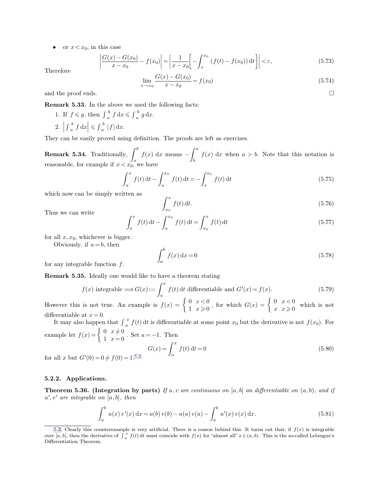or  $x < x_0$ , in this case

<span id="page-9-0"></span>
$$
\left| \frac{G(x) - G(x_0)}{x - x_0} - f(x_0) \right| = \left| \frac{1}{x - x_0} \right[ - \int_x^{x_0} (f(t) - f(x_0)) dt \right| < \varepsilon,
$$
\n(5.73)

Therefore

$$
\lim_{x \to x_0} \frac{G(x) - G(x_0)}{x - x_0} = f(x_0)
$$
\n(5.74)

and the proof ends.  $\Box$ 

**Remark 5.33.** In the above we used the following facts:

1. If  $f \leq g$ , then  $\int_a^b$  $\int_a^b f \, dx \leqslant \int_a^b$  $\int_a^b g\,dx.$  $2.$  $\int_a^b$  $\left| \int_a^b f \, dx \right| \leqslant \int_a^b$  $\int_a^b |f| \, dx.$ 

They can be easily proved using definition. The proofs are left as exercises.

**Remark 5.34.** Traditionally,  $\int_a$ b  $f(x)$  dx means b  $\int_a^a f(x) dx$  when  $a > b$ . Note that this notation is reasonable, for example if  $x < x_0$ , we have

$$
\int_{a}^{x} f(t) dt - \int_{a}^{x_0} f(t) dt = -\int_{x}^{x_0} f(t) dt
$$
\n(5.75)

which now can be simply written as

$$
\int_{x_0}^x f(t) \, \mathrm{d}t. \tag{5.76}
$$

Thus we can write

$$
\int_{a}^{x} f(t) dt - \int_{a}^{x_0} f(t) dt = \int_{x_0}^{x} f(t) dt
$$
\n(5.77)

for all  $x, x_0$ , whichever is bigger.

Obviously, if  $a = b$ , then

$$
\int_{a}^{b} f(x) dx = 0 \tag{5.78}
$$

for any integrable function  $f$ .

**Remark 5.35.** Ideally one would like to have a theorem stating

$$
f(x) \text{ integrable} \Longrightarrow G(x) := \int_{a}^{x} f(t) dt \text{ differentiable and } G'(x) = f(x). \tag{5.79}
$$

However this is not true. An example is  $f(x) = \begin{cases} 0 & x < 0 \\ 1 & x > 0 \end{cases}$  $\begin{cases} 0 & x < 0 \\ 1 & x \geqslant 0 \end{cases}$ , for which  $G(x) = \begin{cases} 0 & x < 0 \\ x & x \geqslant 0 \end{cases}$  $x \stackrel{0}{x \geq 0}$  which is not differentiable at  $x = 0$ .

It may also happen that  $\int_{a}^{a}$  $\int_{a}^{x} f(t) dt$  is differentiable at some point  $x_0$  but the derivative is not  $f(x_0)$ . For example let  $f(x) = \begin{cases} 0 & x \neq 0 \\ 1 & x = 0 \end{cases}$ . Set  $a = -1$ . Then

$$
G(x) = \int_{a}^{x} f(t) dt = 0
$$
\n(5.80)

for all x but  $G'(0) = 0 \neq f(0) = 1.5.2$ 

## **5.2.2. Applications.**

**Theorem 5.36. (Integration by parts)** If u, v are continuous on [a, b] an differentiable on  $(a, b)$ , and if u ′ , v′ *are integrable on* [a, b]*, then*

$$
\int_{a}^{b} u(x) v'(x) dx = u(b) v(b) - u(a) v(a) - \int_{a}^{b} u'(x) v(x) dx.
$$
 (5.81)

[<sup>5.2.</sup>](#page-9-0) Clearly this counterexample is very artificial. There is a reason behind this. It turns out that, if  $f(x)$  is integrable over [a, b], then the derivative of  $\int_a^x f(t) dt$  must coincide with  $f(x)$  for "almost all"  $x \in (a, b)$ . This is the so-called Lebesgue's Differentiation Theorem.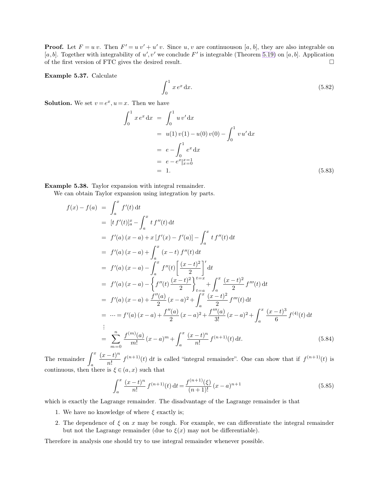**Proof.** Let  $F = u v$ . Then  $F' = u v' + u' v$ . Since u, v are continuouson [a, b], they are also integrable on [a, b]. Together with integrability of u', v' we conclude F' is integrable (Theorem [5.19\)](#page-5-0) on [a, b]. Application of the first version of FTC gives the desired result.

**Example 5.37.** Calculate

$$
\int_0^1 x e^x \, \mathrm{d}x. \tag{5.82}
$$

**Solution.** We set  $v = e^x, u = x$ . Then we have

$$
\int_0^1 x e^x dx = \int_0^1 u v' dx
$$
  
=  $u(1) v(1) - u(0) v(0) - \int_0^1 v u' dx$   
=  $e - \int_0^1 e^x dx$   
=  $e - e^x |_{x=0}^{x=1}$   
= 1. (5.83)

**Example 5.38.** Taylor expansion with integral remainder.

We can obtain Taylor expansion using integration by parts.

$$
f(x) - f(a) = \int_{a}^{x} f'(t) dt
$$
  
\n
$$
= [t f'(t)]_{a}^{x} - \int_{a}^{x} t f''(t) dt
$$
  
\n
$$
= f'(a) (x - a) + x [f'(x) - f'(a)] - \int_{a}^{x} t f''(t) dt
$$
  
\n
$$
= f'(a) (x - a) + \int_{a}^{x} (x - t) f''(t) dt
$$
  
\n
$$
= f'(a) (x - a) - \int_{a}^{x} f''(t) \left[ \frac{(x - t)^{2}}{2} \right]^{t} dt
$$
  
\n
$$
= f'(a) (x - a) - \left\{ f''(t) \frac{(x - t)^{2}}{2} \right\}_{t=a}^{t=x} + \int_{a}^{x} \frac{(x - t)^{2}}{2} f'''(t) dt
$$
  
\n
$$
= f'(a) (x - a) + \frac{f''(a)}{2} (x - a)^{2} + \int_{a}^{x} \frac{(x - t)^{2}}{2} f'''(t) dt
$$
  
\n
$$
= \cdots = f'(a) (x - a) + \frac{f''(a)}{2} (x - a)^{2} + \frac{f'''(a)}{3!} (x - a)^{2} + \int_{a}^{x} \frac{(x - t)^{3}}{6} f^{(4)}(t) dt
$$
  
\n
$$
\vdots
$$
  
\n
$$
= \sum_{m=0}^{n} \frac{f^{(m)}(a)}{m!} (x - a)^{m} + \int_{a}^{x} \frac{(x - t)^{n}}{n!} f^{(n+1)}(t) dt.
$$
 (5.84)

The remainder  $\int_a$  $\frac{x}{(x-t)^n}$  $\frac{(n+1)}{n!} f^{(n+1)}(t)$  dt is called "integral remainder". One can show that if  $f^{(n+1)}(t)$  is continuous, then there is  $\xi \in (a, x)$  such that

$$
\int_{a}^{x} \frac{(x-t)^{n}}{n!} f^{(n+1)}(t) dt = \frac{f^{(n+1)}(\xi)}{(n+1)!} (x-a)^{n+1}
$$
\n(5.85)

which is exactly the Lagrange remainder. The disadvantage of the Lagrange remainder is that

- 1. We have no knowledge of where  $\xi$  exactly is;
- 2. The dependence of  $\xi$  on x may be rough. For example, we can differentiate the integral remainder but not the Lagrange remainder (due to  $\xi(x)$  may not be differentiable).

Therefore in analysis one should try to use integral remainder whenever possible.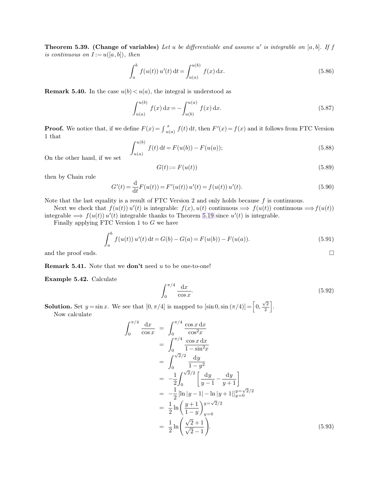**Theorem 5.39. (Change of variables)** *Let* u *be differentiable and assume* u ′ *is integrable on* [a, b]*. If* f *is continuous on*  $I := u([a, b])$ *, then* 

$$
\int_{a}^{b} f(u(t)) u'(t) dt = \int_{u(a)}^{u(b)} f(x) dx.
$$
\n(5.86)

**Remark 5.40.** In the case  $u(b) < u(a)$ , the integral is understood as

$$
\int_{u(a)}^{u(b)} f(x) dx = -\int_{u(b)}^{u(a)} f(x) dx.
$$
 (5.87)

**Proof.** We notice that, if we define  $F(x) = \int_{u(a)}^{x}$  $\int_{f(x)}^{x} f(t) dt$ , then  $F'(x) = f(x)$  and it follows from FTC Version 1 that

$$
\int_{u(a)}^{u(b)} f(t) dt = F(u(b)) - F(u(a));
$$
\n(5.88)

On the other hand, if we set

$$
G(t) := F(u(t))\tag{5.89}
$$

then by Chain rule

$$
G'(t) = \frac{d}{dt}F(u(t)) = F'(u(t))u'(t) = f(u(t))u'(t).
$$
\n(5.90)

Note that the last equality is a result of FTC Version 2 and only holds because  $f$  is continuous.

Next we check that  $f(u(t))$  u'(t) is integrable:  $f(x)$ ,  $u(t)$  continuous  $\implies$   $f(u(t))$  continuous  $\implies$   $f(u(t))$ integrable  $\implies f(u(t)) u'(t)$  integrable thanks to Theorem [5.19](#page-5-0) since  $u'(t)$  is integrable.

Finally applying FTC Version 1 to G we have

$$
\int_{a}^{b} f(u(t)) u'(t) dt = G(b) - G(a) = F(u(b)) - F(u(a)).
$$
\n(5.91)

and the proof ends.  $\Box$ 

**Remark 5.41.** Note that we **don't** need u to be one-to-one!

**Example 5.42.** Calculate

$$
\int_0^{\pi/4} \frac{\mathrm{d}x}{\cos x}.\tag{5.92}
$$

**Solution.** Set  $y = \sin x$ . We see that  $[0, \pi/4]$  is mapped to  $[\sin 0, \sin (\pi/4)] = \left[0, \frac{\sqrt{2}}{2}\right]$  $\frac{\sqrt{2}}{2}$ . Now calculate

$$
\int_0^{\pi/4} \frac{dx}{\cos x} = \int_0^{\pi/4} \frac{\cos x \, dx}{\cos^2 x}
$$
  
= 
$$
\int_0^{\pi/4} \frac{\cos x \, dx}{1 - \sin^2 x}
$$
  
= 
$$
\int_0^{\sqrt{2}/2} \frac{dy}{1 - y^2}
$$
  
= 
$$
-\frac{1}{2} \int_0^{\sqrt{2}/2} \left[ \frac{dy}{y - 1} - \frac{dy}{y + 1} \right]
$$
  
= 
$$
-\frac{1}{2} [\ln |y - 1| - \ln |y + 1|]_{y=0}^{y=\sqrt{2}/2}
$$
  
= 
$$
\frac{1}{2} \ln \left( \frac{y + 1}{1 - y} \right)_{y=0}^{y=\sqrt{2}/2}
$$
  
= 
$$
\frac{1}{2} \ln \left( \frac{\sqrt{2} + 1}{\sqrt{2} - 1} \right).
$$
 (5.93)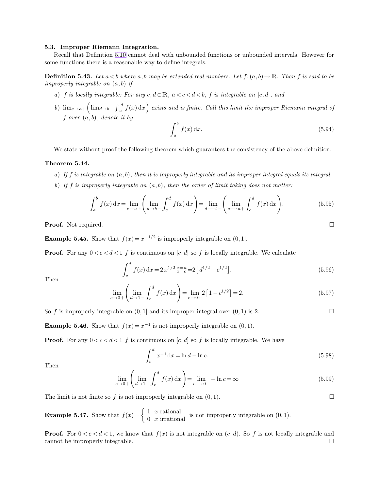#### **5.3. Improper Riemann Integration.**

Recall that Definition [5.10](#page-2-1) cannot deal with unbounded functions or unbounded intervals. However for some functions there is a reasonable way to define integrals.

**Definition 5.43.** Let  $a < b$  where  $a, b$  may be extended real numbers. Let  $f:(a, b) \mapsto \mathbb{R}$ . Then f is said to be *improperly integrable on* (a, b) *if*

- *a*) *f is locally integrable: For any*  $c, d \in \mathbb{R}$ ,  $a < c < d < b$ , *f is integrable on*  $[c, d]$ *, and*
- *b*)  $\lim_{c \to a+} \left( \lim_{d \to b-} \int_{c}^{a}$  $\frac{d}{dx} f(x) dx$  exists and is finite. Call this limit the improper Riemann integral of f *over* (a, b)*, denote it by*

$$
\int_{a}^{b} f(x) \, \mathrm{d}x. \tag{5.94}
$$

We state without proof the following theorem which guarantees the consistency of the above definition.

# **Theorem 5.44.**

*a*) *If* f *is integrable on* (a, b)*, then it is improperly integrable and its improper integral equals its integral. b*) *If* f *is improperly integrable on* (a, b)*, then the order of limit taking does not matter:*

$$
\int_{a}^{b} f(x) dx = \lim_{c \to a+} \left( \lim_{d \to b-} \int_{c}^{d} f(x) dx \right) = \lim_{d \to b-} \left( \lim_{c \to a+} \int_{c}^{d} f(x) dx \right).
$$
 (5.95)

**Proof.** Not required. □

**Example 5.45.** Show that  $f(x) = x^{-1/2}$  is improperly integrable on  $(0, 1]$ .

**Proof.** For any  $0 < c < d < 1$  f is continuous on  $[c, d]$  so f is locally integrable. We calculate

$$
\int_{c}^{d} f(x) dx = 2 x^{1/2} \vert_{x=c}^{x=d} = 2 \left[ d^{1/2} - c^{1/2} \right].
$$
 (5.96)

Then

$$
\lim_{c \to 0+} \left( \lim_{d \to 1-} \int_c^d f(x) \, dx \right) = \lim_{c \to 0+} 2 \left[ 1 - c^{1/2} \right] = 2. \tag{5.97}
$$

So f is improperly integrable on  $(0, 1]$  and its improper integral over  $(0, 1)$  is 2.

**Example 5.46.** Show that  $f(x) = x^{-1}$  is not improperly integrable on  $(0, 1)$ .

**Proof.** For any  $0 < c < d < 1$  f is continuous on [c, d] so f is locally integrable. We have

$$
\int_{c}^{d} x^{-1} dx = \ln d - \ln c.
$$
 (5.98)

Then

$$
\lim_{c \to 0+} \left( \lim_{d \to 1-} \int_c^d f(x) dx \right) = \lim_{c \to 0+} -\ln c = \infty
$$
\n(5.99)

The limit is not finite so f is not improperly integrable on  $(0, 1)$ .

**Example 5.47.** Show that  $f(x) = \begin{cases} 1 & x \text{ rational} \\ 0 & x \text{ irrational} \end{cases}$  is not improperly integrable on  $(0, 1)$ .

**Proof.** For  $0 < c < d < 1$ , we know that  $f(x)$  is not integrable on  $(c, d)$ . So f is not locally integrable and cannot be improperly integrable.  $\Box$ 

<span id="page-12-0"></span>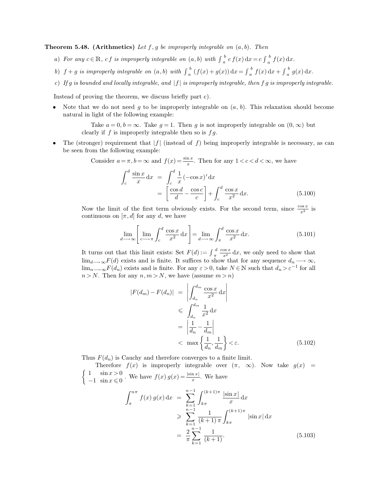**Theorem 5.48. (Arithmetics)** Let  $f$ ,  $g$  be improperly integrable on  $(a, b)$ . Then

- *a*) *For any*  $c \in \mathbb{R}$ , *cf is improperly integrable on*  $(a, b)$  *with*  $\int_a^b$  $\int_a^b cf(x) dx = c \int_a^b$  $\int_a^b f(x) dx$ .
- b)  $f + g$  *is improperly integrable on*  $(a, b)$  *with*  $\int_a^b$  $\int_a^b (f(x) + g(x)) dx = \int_a^b$  $\int_a^b f(x) dx + \int_a^b$  $\int_a^b g(x) dx$ .
- *c*) *If* g *is bounded and locally integrable, and* |f | *is improperly integrable, then* f g *is improperly integrable.*

Instead of proving the theorem, we discuss briefly part c).

• Note that we do not need g to be improperly integrable on  $(a, b)$ . This relaxation should become natural in light of the following example:

> Take  $a = 0, b = \infty$ . Take  $g = 1$ . Then g is not improperly integrable on  $(0, \infty)$  but clearly if  $f$  is improperly integrable then so is  $fg$ .

The (stronger) requirement that  $|f|$  (instead of f) being improperly integrable is necessary, as can be seen from the following example:

 $\overline{d}$  –

Consider  $a = \pi$ ,  $b = \infty$  and  $f(x) = \frac{\sin x}{x}$ . Then for any  $1 < c < d < \infty$ , we have Z c  $\int_a^d \sin x$  $\frac{\ln x}{x} dx = \int$ c  $\begin{array}{c} d \end{array} 1$  $\frac{1}{x}(-\cos x)' dx$  $= \left[ \frac{\cos d}{d} \right]$ cos c  $]+$  $\frac{d}{dx}$  cos x

Now the limit of the first term obviously exists. For the second term, since  $\frac{\cos x}{x^2}$  is continuous on  $[\pi, d]$  for any d, we have

c

$$
\lim_{d \to \infty} \left[ \lim_{c \to \pi} \int_{c}^{d} \frac{\cos x}{x^2} dx \right] = \lim_{d \to \infty} \int_{\pi}^{d} \frac{\cos x}{x^2} dx.
$$
 (5.101)

c

 $x^2$ 

 $(5.100)$ 

It turns out that this limit exists: Set  $F(d) := \int_{\pi}^{c}$  $\frac{d}{\tau} \frac{\cos x}{x^2} dx$ , we only need to show that  $\lim_{d\longrightarrow\infty}F(d)$  exists and is finite. It suffices to show that for any sequence  $d_n \longrightarrow \infty$ ,  $\lim_{n\to\infty}F(d_n)$  exists and is finite. For any  $\varepsilon > 0$ , take  $N \in \mathbb{N}$  such that  $d_n > \varepsilon^{-1}$  for all  $n > N$ . Then for any  $n, m > N$ , we have (assume  $m > n$ )

$$
|F(d_m) - F(d_n)| = \left| \int_{d_n}^{d_m} \frac{\cos x}{x^2} dx \right|
$$
  
\n
$$
\leq \int_{d_n}^{d_m} \frac{1}{x^2} dx
$$
  
\n
$$
= \left| \frac{1}{d_n} - \frac{1}{d_m} \right|
$$
  
\n
$$
< \max \left\{ \frac{1}{d_n}, \frac{1}{d_m} \right\} < \varepsilon.
$$
 (5.102)

Thus  $F(d_n)$  is Cauchy and therefore converges to a finite limit.

Therefore  $f(x)$  is improperly integrable over  $(\pi, \infty)$ . Now take  $g(x) =$  $\int 1$   $\sin x > 0$  $-1 \sin x \leqslant 0$ . We have  $f(x) g(x) = \frac{|\sin x|}{x}$ . We have

$$
\int_{\pi}^{n\pi} f(x) g(x) dx = \sum_{k=1}^{n-1} \int_{k\pi}^{(k+1)\pi} \frac{|\sin x|}{x} dx
$$
  
\n
$$
\geqslant \sum_{k=1}^{n-1} \frac{1}{(k+1)\pi} \int_{k\pi}^{(k+1)\pi} |\sin x| dx
$$
  
\n
$$
= \frac{2}{\pi} \sum_{k=1}^{n-1} \frac{1}{(k+1)}. \tag{5.103}
$$